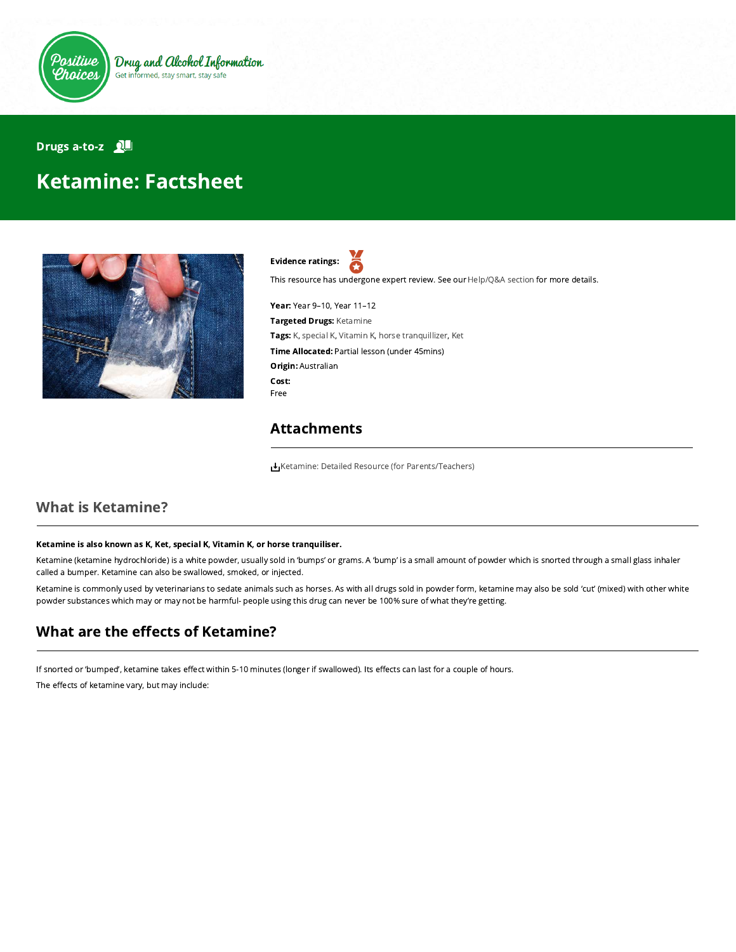

#### Drugs a-to-z **QL**

# Ketamine: Factsheet



Evidence ratings:

This resource has undergone expert review. See our [Help/Q&A section](https://positivechoices.org.au/help/questions-and-answers/) for more details.

Year: Year 9–10, Year 11–12 Targeted Drugs: Ketamine Tags: K, special K, Vitamin K, horse tranquillizer, Ket Time Allocated: Partial lesson (under 45mins) Origin: Australian Cost: Free

#### Attachments

[Ketamine: Detailed Resource \(for Parents/Teachers\)](https://positivechoices.org.au/documents/KRnFZZCkXk/ketamine-detailed-resource-for-parentsteachers/)

## What is Ketamine?

#### Ketamine is also known as K, Ket, special K, Vitamin K, or horse tranquiliser.

Ketamine (ketamine hydrochloride) is a white powder, usually sold in 'bumps' or grams. A 'bump' is a small amount of powder which is snorted through a small glass inhaler called a bumper. Ketamine can also be swallowed, smoked, or injected.

Ketamine is commonly used by veterinarians to sedate animals such as horses. As with all drugs sold in powder form, ketamine may also be sold 'cut' (mixed) with other white powder substances which may or may not be harmful- people using this drug can never be 100% sure of what they're getting.

## What are the effects of Ketamine?

If snorted or 'bumped', ketamine takes effect within 5-10 minutes (longer if swallowed). Its effects can last for a couple of hours.

The effects of ketamine vary, but may include: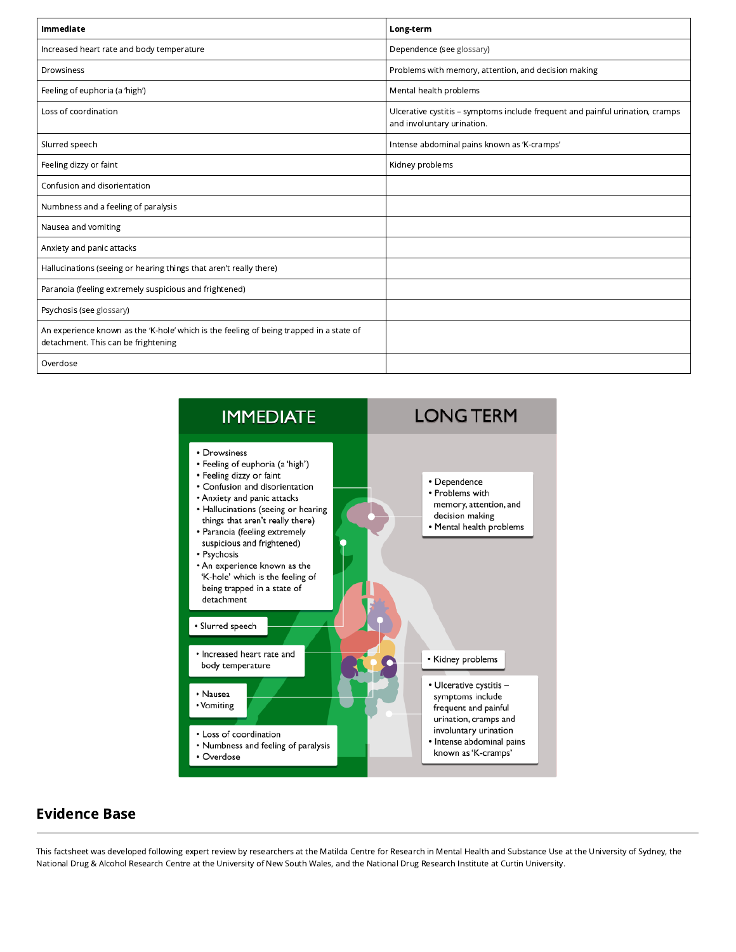| Immediate                                                                                                                      | Long-term                                                                                                   |
|--------------------------------------------------------------------------------------------------------------------------------|-------------------------------------------------------------------------------------------------------------|
| Increased heart rate and body temperature                                                                                      | Dependence (see glossary)                                                                                   |
| Drowsiness                                                                                                                     | Problems with memory, attention, and decision making                                                        |
| Feeling of euphoria (a 'high')                                                                                                 | Mental health problems                                                                                      |
| Loss of coordination                                                                                                           | Ulcerative cystitis - symptoms include frequent and painful urination, cramps<br>and involuntary urination. |
| Slurred speech                                                                                                                 | Intense abdominal pains known as 'K-cramps'                                                                 |
| Feeling dizzy or faint                                                                                                         | Kidney problems                                                                                             |
| Confusion and disorientation                                                                                                   |                                                                                                             |
| Numbness and a feeling of paralysis                                                                                            |                                                                                                             |
| Nausea and vomiting                                                                                                            |                                                                                                             |
| Anxiety and panic attacks                                                                                                      |                                                                                                             |
| Hallucinations (seeing or hearing things that aren't really there)                                                             |                                                                                                             |
| Paranoia (feeling extremely suspicious and frightened)                                                                         |                                                                                                             |
| Psychosis (see glossary)                                                                                                       |                                                                                                             |
| An experience known as the 'K-hole' which is the feeling of being trapped in a state of<br>detachment. This can be frightening |                                                                                                             |
| Overdose                                                                                                                       |                                                                                                             |



# Evidence Base

This factsheet was developed following expert review by researchers at the Matilda Centre for Research in Mental Health and Substance Use at the University of Sydney, the National Drug & Alcohol Research Centre at the University of New South Wales, and the National Drug Research Institute at Curtin University.